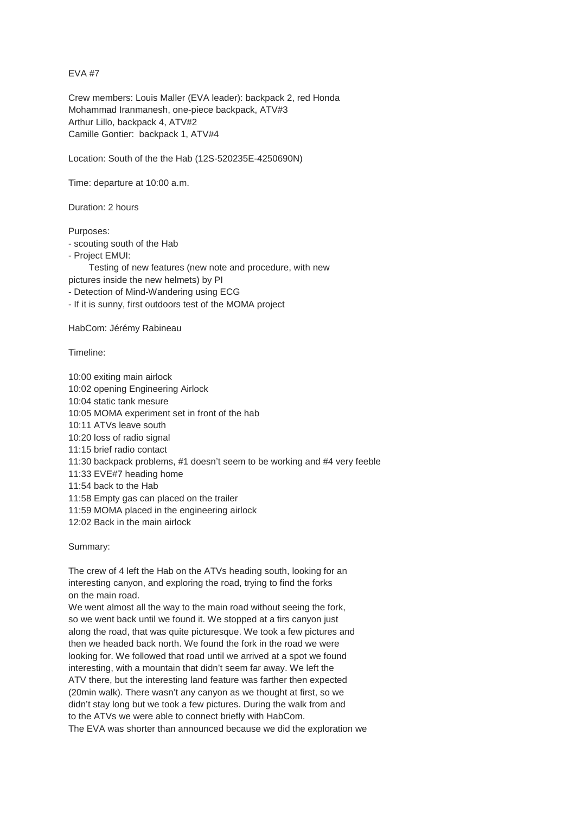EVA #7

Crew members: Louis Maller (EVA leader): backpack 2, red Honda Mohammad Iranmanesh, one-piece backpack, ATV#3 Arthur Lillo, backpack 4, ATV#2 Camille Gontier: backpack 1, ATV#4

Location: South of the the Hab (12S-520235E-4250690N)

Time: departure at 10:00 a.m.

Duration: 2 hours

Purposes:

- scouting south of the Hab
- Project EMUI:
- Testing of new features (new note and procedure, with new pictures inside the new helmets) by PI
- Detection of Mind-Wandering using ECG
- If it is sunny, first outdoors test of the MOMA project

HabCom: Jérémy Rabineau

Timeline:

10:00 exiting main airlock 10:02 opening Engineering Airlock 10:04 static tank mesure 10:05 MOMA experiment set in front of the hab 10:11 ATVs leave south 10:20 loss of radio signal 11:15 brief radio contact 11:30 backpack problems, #1 doesn't seem to be working and #4 very feeble 11:33 EVE#7 heading home 11:54 back to the Hab 11:58 Empty gas can placed on the trailer 11:59 MOMA placed in the engineering airlock 12:02 Back in the main airlock

## Summary:

The crew of 4 left the Hab on the ATVs heading south, looking for an interesting canyon, and exploring the road, trying to find the forks on the main road.

We went almost all the way to the main road without seeing the fork, so we went back until we found it. We stopped at a firs canyon just along the road, that was quite picturesque. We took a few pictures and then we headed back north. We found the fork in the road we were looking for. We followed that road until we arrived at a spot we found interesting, with a mountain that didn't seem far away. We left the ATV there, but the interesting land feature was farther then expected (20min walk). There wasn't any canyon as we thought at first, so we didn't stay long but we took a few pictures. During the walk from and to the ATVs we were able to connect briefly with HabCom.

The EVA was shorter than announced because we did the exploration we